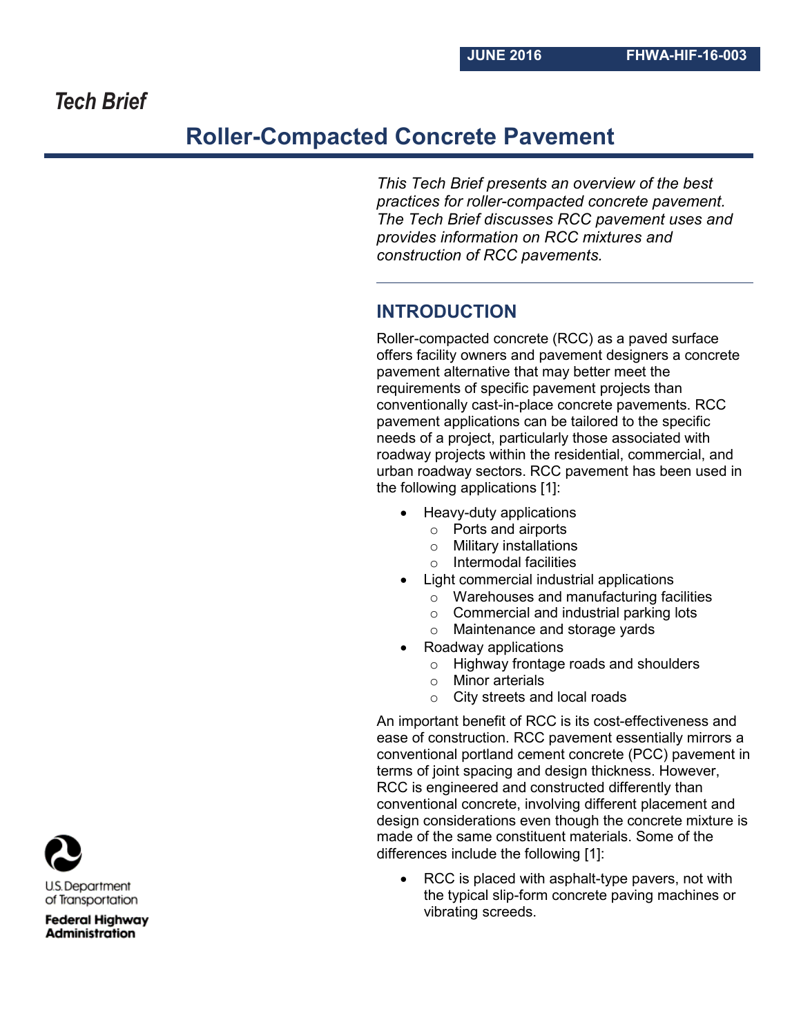*Tech Brief*

# **Roller-Compacted Concrete Pavement**

*This Tech Brief presents an overview of the best practices for roller-compacted concrete pavement. The Tech Brief discusses RCC pavement uses and provides information on RCC mixtures and construction of RCC pavements.* 

# **INTRODUCTION**

Roller-compacted concrete (RCC) as a paved surface offers facility owners and pavement designers a concrete pavement alternative that may better meet the requirements of specific pavement projects than conventionally cast-in-place concrete pavements. RCC pavement applications can be tailored to the specific needs of a project, particularly those associated with roadway projects within the residential, commercial, and urban roadway sectors. RCC pavement has been used in the following applications [1]:

- Heavy-duty applications
	- o Ports and airports
	- o Military installations
	- o Intermodal facilities
- Light commercial industrial applications
	- o Warehouses and manufacturing facilities
	- o Commercial and industrial parking lots
	- o Maintenance and storage yards
- Roadway applications
	- o Highway frontage roads and shoulders
	- o Minor arterials
	- o City streets and local roads

An important benefit of RCC is its cost-effectiveness and ease of construction. RCC pavement essentially mirrors a conventional portland cement concrete (PCC) pavement in terms of joint spacing and design thickness. However, RCC is engineered and constructed differently than conventional concrete, involving different placement and design considerations even though the concrete mixture is made of the same constituent materials. Some of the differences include the following [1]:

• RCC is placed with asphalt-type pavers, not with the typical slip-form concrete paving machines or vibrating screeds.



U.S. Department of Transportation

**Federal Highway Administration**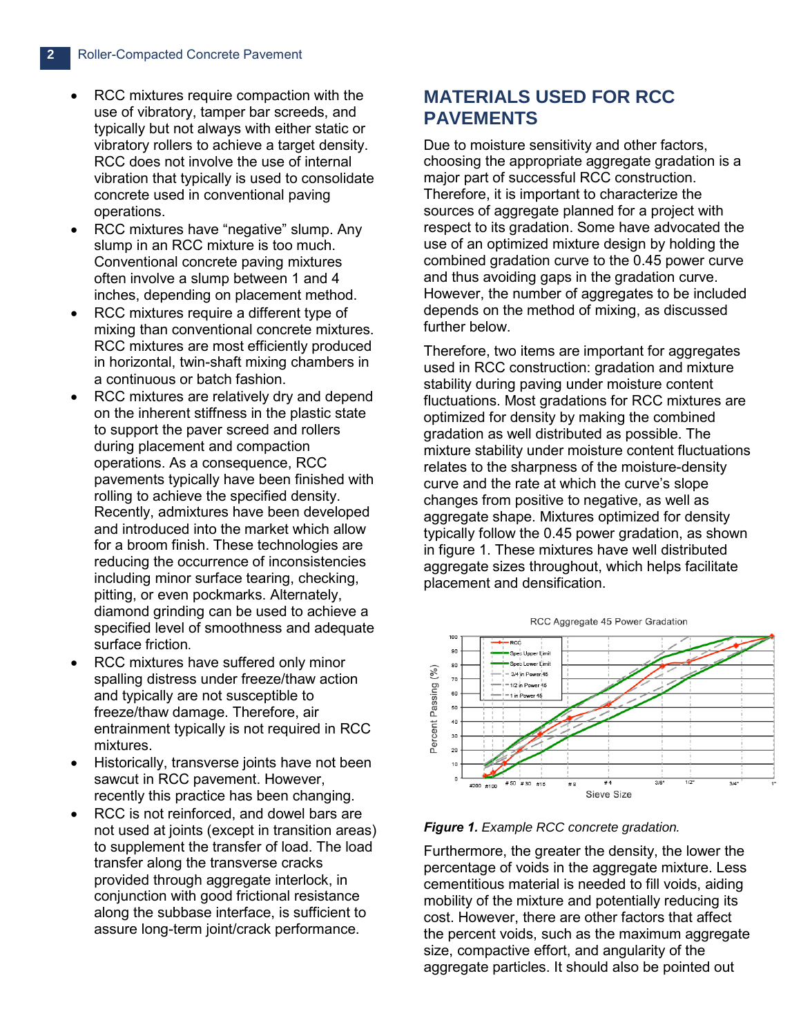- RCC mixtures require compaction with the use of vibratory, tamper bar screeds, and typically but not always with either static or vibratory rollers to achieve a target density. RCC does not involve the use of internal vibration that typically is used to consolidate concrete used in conventional paving operations.
- RCC mixtures have "negative" slump. Any slump in an RCC mixture is too much. Conventional concrete paving mixtures often involve a slump between 1 and 4 inches, depending on placement method.
- RCC mixtures require a different type of mixing than conventional concrete mixtures. RCC mixtures are most efficiently produced in horizontal, twin-shaft mixing chambers in a continuous or batch fashion.
- RCC mixtures are relatively dry and depend on the inherent stiffness in the plastic state to support the paver screed and rollers during placement and compaction operations. As a consequence, RCC pavements typically have been finished with rolling to achieve the specified density. Recently, admixtures have been developed and introduced into the market which allow for a broom finish. These technologies are reducing the occurrence of inconsistencies including minor surface tearing, checking, pitting, or even pockmarks. Alternately, diamond grinding can be used to achieve a specified level of smoothness and adequate surface friction.
- RCC mixtures have suffered only minor spalling distress under freeze/thaw action and typically are not susceptible to freeze/thaw damage. Therefore, air entrainment typically is not required in RCC mixtures.
- Historically, transverse joints have not been sawcut in RCC pavement. However, recently this practice has been changing.
- RCC is not reinforced, and dowel bars are not used at joints (except in transition areas) to supplement the transfer of load. The load transfer along the transverse cracks provided through aggregate interlock, in conjunction with good frictional resistance along the subbase interface, is sufficient to assure long-term joint/crack performance.

# **MATERIALS USED FOR RCC PAVEMENTS**

Due to moisture sensitivity and other factors, choosing the appropriate aggregate gradation is a major part of successful RCC construction. Therefore, it is important to characterize the sources of aggregate planned for a project with respect to its gradation. Some have advocated the use of an optimized mixture design by holding the combined gradation curve to the 0.45 power curve and thus avoiding gaps in the gradation curve. However, the number of aggregates to be included depends on the method of mixing, as discussed further below.

Therefore, two items are important for aggregates used in RCC construction: gradation and mixture stability during paving under moisture content fluctuations. Most gradations for RCC mixtures are optimized for density by making the combined gradation as well distributed as possible. The mixture stability under moisture content fluctuations relates to the sharpness of the moisture-density curve and the rate at which the curve's slope changes from positive to negative, as well as aggregate shape. Mixtures optimized for density typically follow the 0.45 power gradation, as shown in figure 1. These mixtures have well distributed aggregate sizes throughout, which helps facilitate placement and densification.



*Figure 1. Example RCC concrete gradation.* 

Furthermore, the greater the density, the lower the percentage of voids in the aggregate mixture. Less cementitious material is needed to fill voids, aiding mobility of the mixture and potentially reducing its cost. However, there are other factors that affect the percent voids, such as the maximum aggregate size, compactive effort, and angularity of the aggregate particles. It should also be pointed out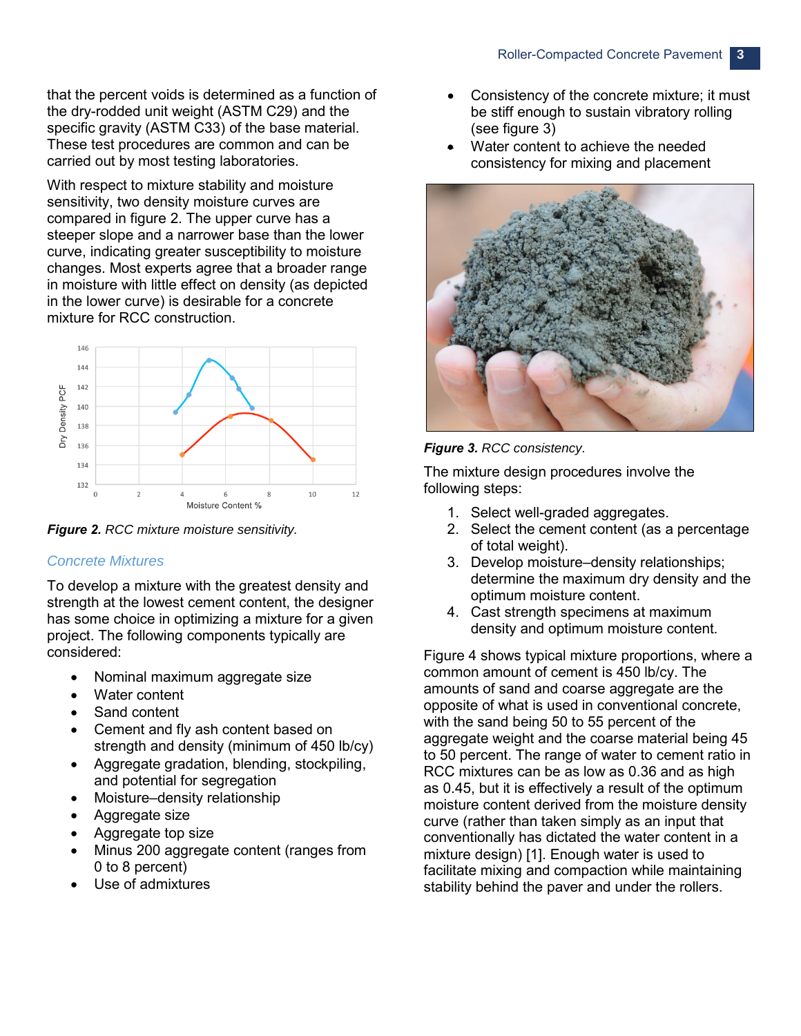that the percent voids is determined as a function of the dry-rodded unit weight (ASTM C29) and the specific gravity (ASTM C33) of the base material. These test procedures are common and can be carried out by most testing laboratories.

With respect to mixture stability and moisture sensitivity, two density moisture curves are compared in figure 2. The upper curve has a steeper slope and a narrower base than the lower curve, indicating greater susceptibility to moisture changes. Most experts agree that a broader range in moisture with little effect on density (as depicted in the lower curve) is desirable for a concrete mixture for RCC construction.



*Figure 2. RCC mixture moisture sensitivity.*

#### *Concrete Mixtures*

To develop a mixture with the greatest density and strength at the lowest cement content, the designer has some choice in optimizing a mixture for a given project. The following components typically are considered:

- Nominal maximum aggregate size
- Water content
- Sand content
- Cement and fly ash content based on strength and density (minimum of 450 lb/cy)
- Aggregate gradation, blending, stockpiling, and potential for segregation
- Moisture–density relationship
- Aggregate size
- Aggregate top size
- Minus 200 aggregate content (ranges from 0 to 8 percent)
- Use of admixtures
- Consistency of the concrete mixture; it must be stiff enough to sustain vibratory rolling (see figure 3)
- Water content to achieve the needed consistency for mixing and placement



*Figure 3. RCC consistency.*

The mixture design procedures involve the following steps:

- 1. Select well-graded aggregates.
- 2. Select the cement content (as a percentage of total weight).
- 3. Develop moisture–density relationships; determine the maximum dry density and the optimum moisture content.
- 4. Cast strength specimens at maximum density and optimum moisture content.

Figure 4 shows typical mixture proportions, where a common amount of cement is 450 lb/cy. The amounts of sand and coarse aggregate are the opposite of what is used in conventional concrete, with the sand being 50 to 55 percent of the aggregate weight and the coarse material being 45 to 50 percent. The range of water to cement ratio in RCC mixtures can be as low as 0.36 and as high as 0.45, but it is effectively a result of the optimum moisture content derived from the moisture density curve (rather than taken simply as an input that conventionally has dictated the water content in a mixture design) [1]. Enough water is used to facilitate mixing and compaction while maintaining stability behind the paver and under the rollers.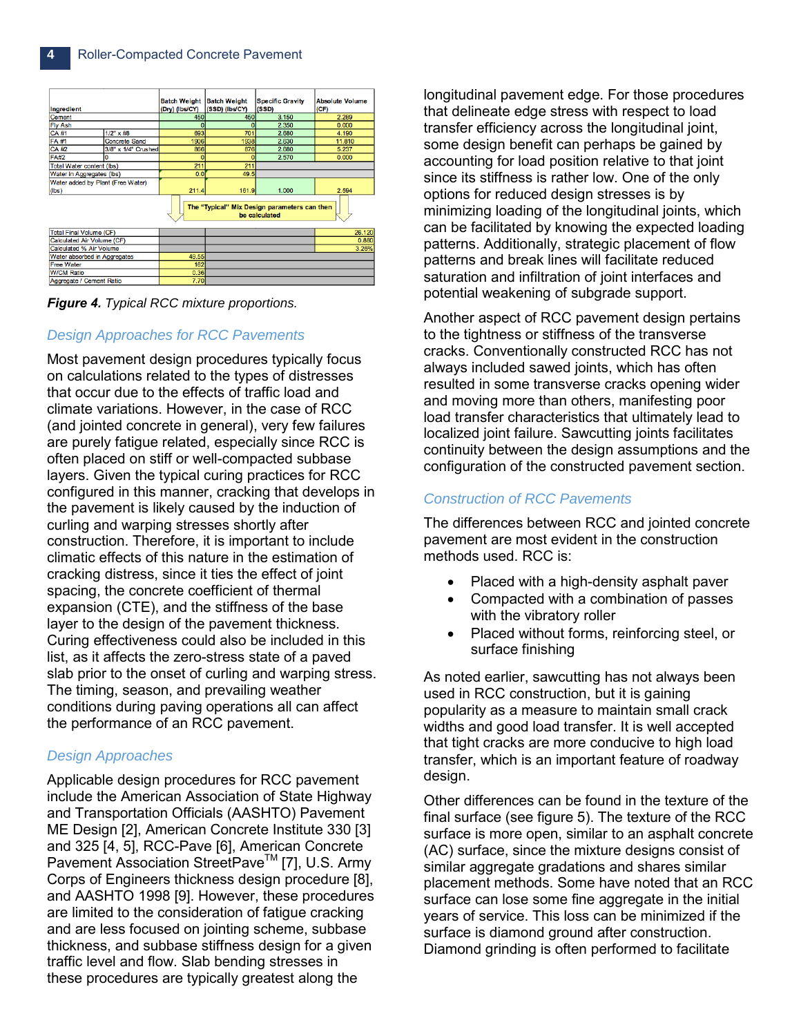| Ingredient                        |                      | Batch Weight Batch Weight<br>(Dry) (lbs/CY)                   | (SSD) (lbs/CY) | <b>Specific Gravity</b><br>(SSD) | <b>Absolute Volume</b><br>(CF) |
|-----------------------------------|----------------------|---------------------------------------------------------------|----------------|----------------------------------|--------------------------------|
| Cement                            |                      | 450                                                           | 450            | 3.150                            | 2.289                          |
| <b>Fly Ash</b>                    |                      |                                                               | п              | 2.350                            | 0.000                          |
| <b>CA#1</b>                       | $1/2" \times #8$     | 693                                                           | 701            | 2.680                            | 4.190                          |
| <b>FA#1</b>                       | <b>Concrete Sand</b> | 1906                                                          | 1938           | 2.630                            | 11,810                         |
| <b>CA#2</b>                       | 3/8" x 1/4" Crushed  | 866                                                           | 876            | 2.680                            | 5.237                          |
| <b>FA#2</b>                       | n                    |                                                               |                | 2.570                            | 0.000                          |
| Total Water content (lbs)         |                      | 211                                                           | 211            |                                  |                                |
| Water in Aggregates (lbs)         |                      | 0.0                                                           | 49.5           |                                  |                                |
| Water added by Plant (Free Water) |                      |                                                               |                |                                  |                                |
| $(\mathsf{lbs})$                  |                      | 211.4                                                         | 161.9          | 1.000                            | 2.594                          |
|                                   |                      | The "Typical" Mix Design parameters can then<br>be calculated |                |                                  |                                |
| <b>Total Final Volume (CF)</b>    |                      |                                                               |                |                                  | 26.120                         |
| Calculated Air Volume (CF)        |                      |                                                               |                |                                  | 0.880                          |
| Calculated % Air Volume           |                      |                                                               |                |                                  | 3.26%                          |
| Water absorbed in Aggregates      |                      | 49.55                                                         |                |                                  |                                |
| <b>Free Water</b>                 |                      | 162                                                           |                |                                  |                                |
| <b>W/CM Ratio</b>                 |                      | 0.36                                                          |                |                                  |                                |
| Aggregate / Cement Ratio          |                      | 7.70                                                          |                |                                  |                                |



#### *Design Approaches for RCC Pavements*

Most pavement design procedures typically focus on calculations related to the types of distresses that occur due to the effects of traffic load and climate variations. However, in the case of RCC (and jointed concrete in general), very few failures are purely fatigue related, especially since RCC is often placed on stiff or well-compacted subbase layers. Given the typical curing practices for RCC configured in this manner, cracking that develops in the pavement is likely caused by the induction of curling and warping stresses shortly after construction. Therefore, it is important to include climatic effects of this nature in the estimation of cracking distress, since it ties the effect of joint spacing, the concrete coefficient of thermal expansion (CTE), and the stiffness of the base layer to the design of the pavement thickness. Curing effectiveness could also be included in this list, as it affects the zero-stress state of a paved slab prior to the onset of curling and warping stress. The timing, season, and prevailing weather conditions during paving operations all can affect the performance of an RCC pavement.

#### *Design Approaches*

Applicable design procedures for RCC pavement include the American Association of State Highway and Transportation Officials (AASHTO) Pavement ME Design [2], American Concrete Institute 330 [3] and 325 [4, 5], RCC-Pave [6], American Concrete Pavement Association StreetPave™ [7], U.S. Army Corps of Engineers thickness design procedure [8], and AASHTO 1998 [9]. However, these procedures are limited to the consideration of fatigue cracking and are less focused on jointing scheme, subbase thickness, and subbase stiffness design for a given traffic level and flow. Slab bending stresses in these procedures are typically greatest along the

longitudinal pavement edge. For those procedures that delineate edge stress with respect to load transfer efficiency across the longitudinal joint, some design benefit can perhaps be gained by accounting for load position relative to that joint since its stiffness is rather low. One of the only options for reduced design stresses is by minimizing loading of the longitudinal joints, which can be facilitated by knowing the expected loading patterns. Additionally, strategic placement of flow patterns and break lines will facilitate reduced saturation and infiltration of joint interfaces and potential weakening of subgrade support.

Another aspect of RCC pavement design pertains to the tightness or stiffness of the transverse cracks. Conventionally constructed RCC has not always included sawed joints, which has often resulted in some transverse cracks opening wider and moving more than others, manifesting poor load transfer characteristics that ultimately lead to localized joint failure. Sawcutting joints facilitates continuity between the design assumptions and the configuration of the constructed pavement section.

#### *Construction of RCC Pavements*

The differences between RCC and jointed concrete pavement are most evident in the construction methods used. RCC is:

- Placed with a high-density asphalt paver
- Compacted with a combination of passes with the vibratory roller
- Placed without forms, reinforcing steel, or surface finishing

As noted earlier, sawcutting has not always been used in RCC construction, but it is gaining popularity as a measure to maintain small crack widths and good load transfer. It is well accepted that tight cracks are more conducive to high load transfer, which is an important feature of roadway design.

Other differences can be found in the texture of the final surface (see figure 5). The texture of the RCC surface is more open, similar to an asphalt concrete (AC) surface, since the mixture designs consist of similar aggregate gradations and shares similar placement methods. Some have noted that an RCC surface can lose some fine aggregate in the initial years of service. This loss can be minimized if the surface is diamond ground after construction. Diamond grinding is often performed to facilitate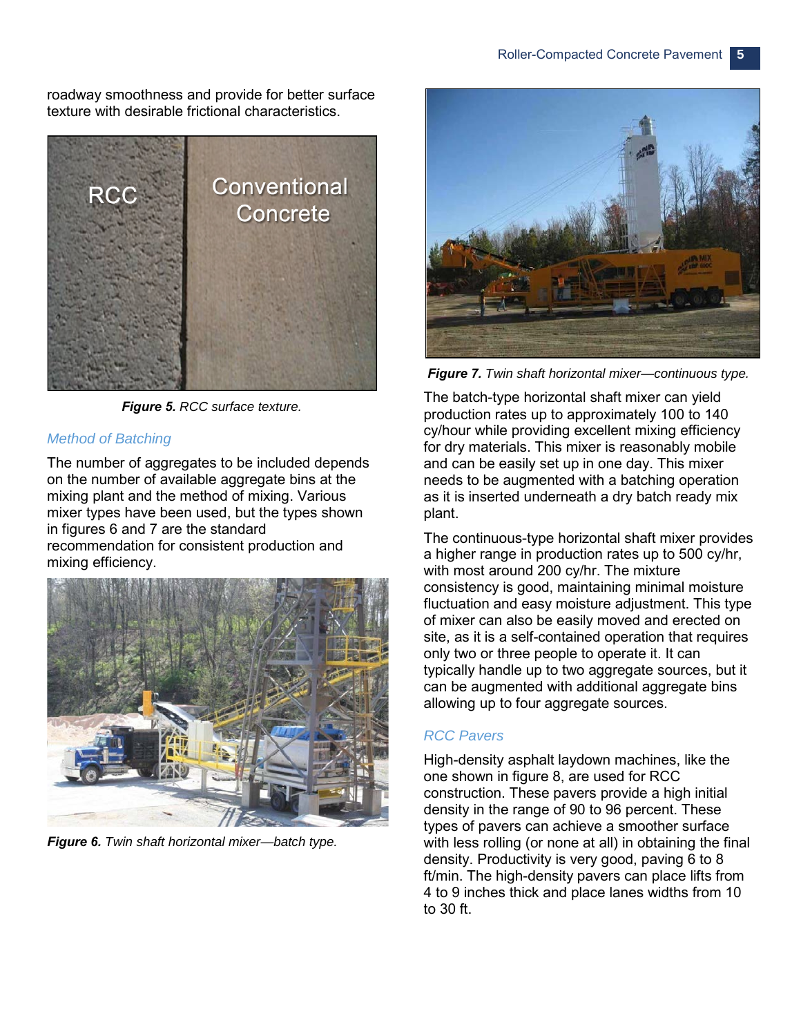roadway smoothness and provide for better surface texture with desirable frictional characteristics.



*Figure 5. RCC surface texture.*

#### *Method of Batching*

The number of aggregates to be included depends on the number of available aggregate bins at the mixing plant and the method of mixing. Various mixer types have been used, but the types shown in figures 6 and 7 are the standard recommendation for consistent production and mixing efficiency.



*Figure 6. Twin shaft horizontal mixer—batch type.* 



*Figure 7. Twin shaft horizontal mixer—continuous type.* 

The batch-type horizontal shaft mixer can yield production rates up to approximately 100 to 140 cy/hour while providing excellent mixing efficiency for dry materials. This mixer is reasonably mobile and can be easily set up in one day. This mixer needs to be augmented with a batching operation as it is inserted underneath a dry batch ready mix plant.

The continuous-type horizontal shaft mixer provides a higher range in production rates up to 500 cy/hr, with most around 200 cy/hr. The mixture consistency is good, maintaining minimal moisture fluctuation and easy moisture adjustment. This type of mixer can also be easily moved and erected on site, as it is a self-contained operation that requires only two or three people to operate it. It can typically handle up to two aggregate sources, but it can be augmented with additional aggregate bins allowing up to four aggregate sources.

#### *RCC Pavers*

High-density asphalt laydown machines, like the one shown in figure 8, are used for RCC construction. These pavers provide a high initial density in the range of 90 to 96 percent. These types of pavers can achieve a smoother surface with less rolling (or none at all) in obtaining the final density. Productivity is very good, paving 6 to 8 ft/min. The high-density pavers can place lifts from 4 to 9 inches thick and place lanes widths from 10 to 30 ft.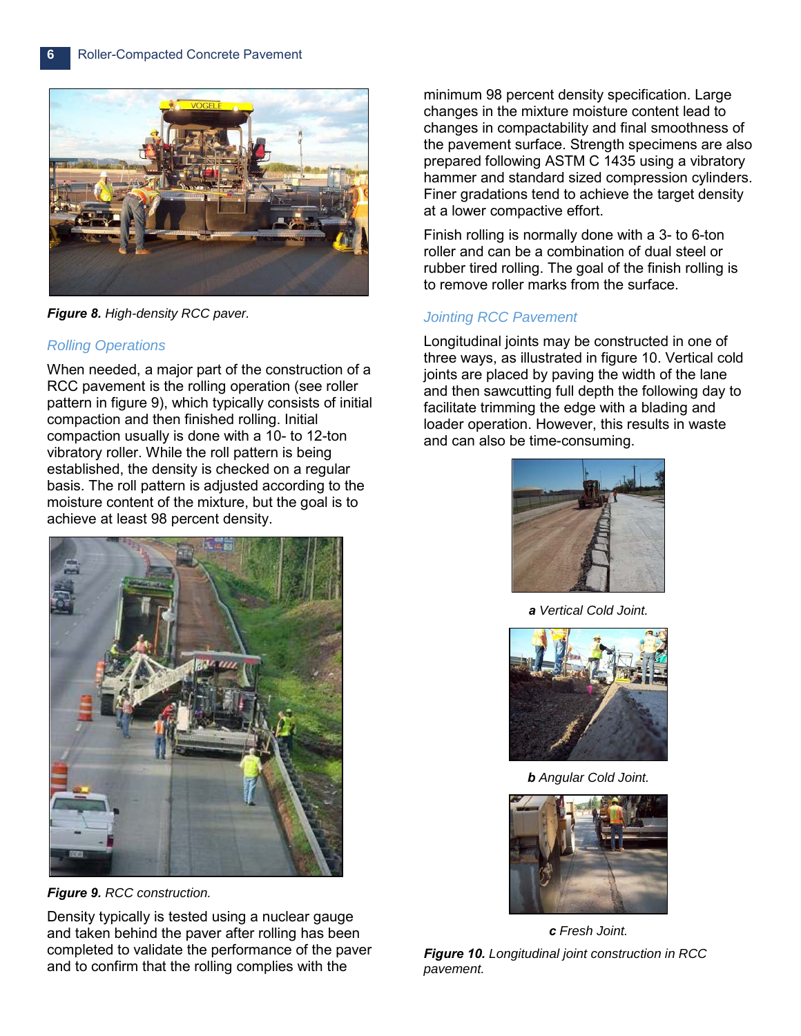

*Figure 8. High-density RCC paver.*

#### *Rolling Operations*

When needed, a major part of the construction of a RCC pavement is the rolling operation (see roller pattern in figure 9), which typically consists of initial compaction and then finished rolling. Initial compaction usually is done with a 10- to 12-ton vibratory roller. While the roll pattern is being established, the density is checked on a regular basis. The roll pattern is adjusted according to the moisture content of the mixture, but the goal is to achieve at least 98 percent density.



*Figure 9. RCC construction.*

Density typically is tested using a nuclear gauge and taken behind the paver after rolling has been completed to validate the performance of the paver and to confirm that the rolling complies with the

minimum 98 percent density specification. Large changes in the mixture moisture content lead to changes in compactability and final smoothness of the pavement surface. Strength specimens are also prepared following ASTM C 1435 using a vibratory hammer and standard sized compression cylinders. Finer gradations tend to achieve the target density at a lower compactive effort.

Finish rolling is normally done with a 3- to 6-ton roller and can be a combination of dual steel or rubber tired rolling. The goal of the finish rolling is to remove roller marks from the surface.

#### *Jointing RCC Pavement*

Longitudinal joints may be constructed in one of three ways, as illustrated in figure 10. Vertical cold joints are placed by paving the width of the lane and then sawcutting full depth the following day to facilitate trimming the edge with a blading and loader operation. However, this results in waste and can also be time-consuming.



*a Vertical Cold Joint.*



*b Angular Cold Joint.*



*c Fresh Joint. Figure 10. Longitudinal joint construction in RCC pavement.*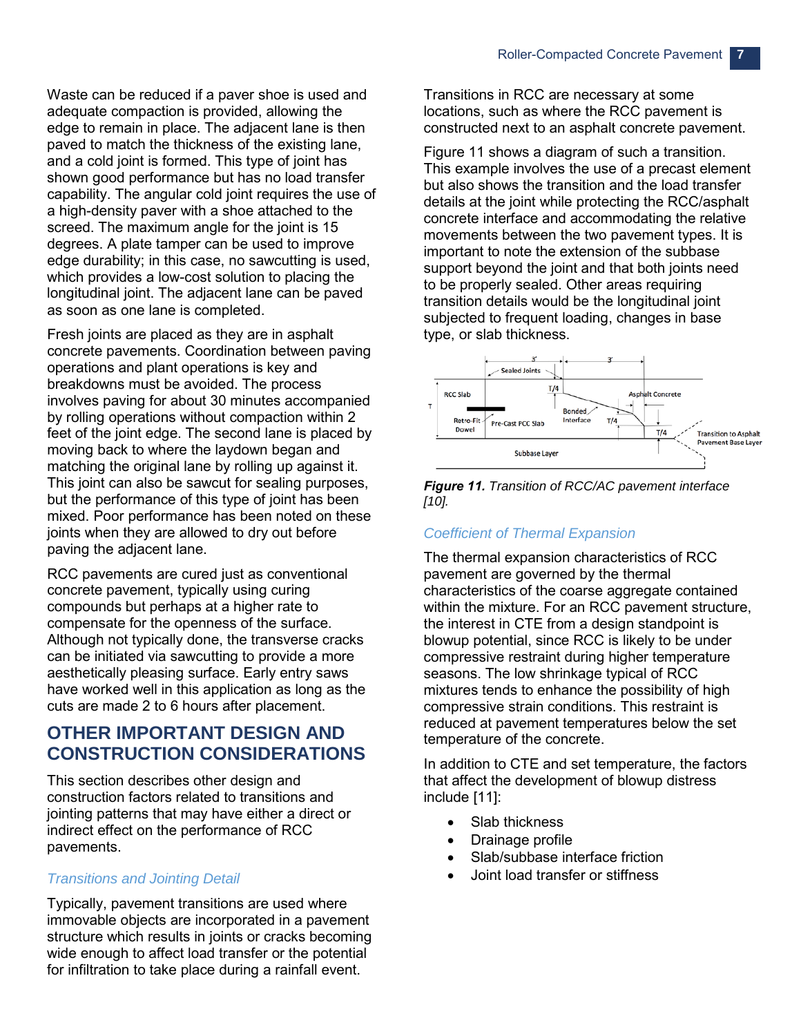Waste can be reduced if a paver shoe is used and adequate compaction is provided, allowing the edge to remain in place. The adjacent lane is then paved to match the thickness of the existing lane, and a cold joint is formed. This type of joint has shown good performance but has no load transfer capability. The angular cold joint requires the use of a high-density paver with a shoe attached to the screed. The maximum angle for the joint is 15 degrees. A plate tamper can be used to improve edge durability; in this case, no sawcutting is used, which provides a low-cost solution to placing the longitudinal joint. The adjacent lane can be paved as soon as one lane is completed.

Fresh joints are placed as they are in asphalt concrete pavements. Coordination between paving operations and plant operations is key and breakdowns must be avoided. The process involves paving for about 30 minutes accompanied by rolling operations without compaction within 2 feet of the joint edge. The second lane is placed by moving back to where the laydown began and matching the original lane by rolling up against it. This joint can also be sawcut for sealing purposes, but the performance of this type of joint has been mixed. Poor performance has been noted on these joints when they are allowed to dry out before paving the adjacent lane.

RCC pavements are cured just as conventional concrete pavement, typically using curing compounds but perhaps at a higher rate to compensate for the openness of the surface. Although not typically done, the transverse cracks can be initiated via sawcutting to provide a more aesthetically pleasing surface. Early entry saws have worked well in this application as long as the cuts are made 2 to 6 hours after placement.

# **OTHER IMPORTANT DESIGN AND CONSTRUCTION CONSIDERATIONS**

This section describes other design and construction factors related to transitions and jointing patterns that may have either a direct or indirect effect on the performance of RCC pavements.

#### *Transitions and Jointing Detail*

Typically, pavement transitions are used where immovable objects are incorporated in a pavement structure which results in joints or cracks becoming wide enough to affect load transfer or the potential for infiltration to take place during a rainfall event.

Transitions in RCC are necessary at some locations, such as where the RCC pavement is constructed next to an asphalt concrete pavement.

Figure 11 shows a diagram of such a transition. This example involves the use of a precast element but also shows the transition and the load transfer details at the joint while protecting the RCC/asphalt concrete interface and accommodating the relative movements between the two pavement types. It is important to note the extension of the subbase support beyond the joint and that both joints need to be properly sealed. Other areas requiring transition details would be the longitudinal joint subjected to frequent loading, changes in base type, or slab thickness.





### *Coefficient of Thermal Expansion*

The thermal expansion characteristics of RCC pavement are governed by the thermal characteristics of the coarse aggregate contained within the mixture. For an RCC pavement structure, the interest in CTE from a design standpoint is blowup potential, since RCC is likely to be under compressive restraint during higher temperature seasons. The low shrinkage typical of RCC mixtures tends to enhance the possibility of high compressive strain conditions. This restraint is reduced at pavement temperatures below the set temperature of the concrete.

In addition to CTE and set temperature, the factors that affect the development of blowup distress include [11]:

- Slab thickness
- Drainage profile
- Slab/subbase interface friction
- Joint load transfer or stiffness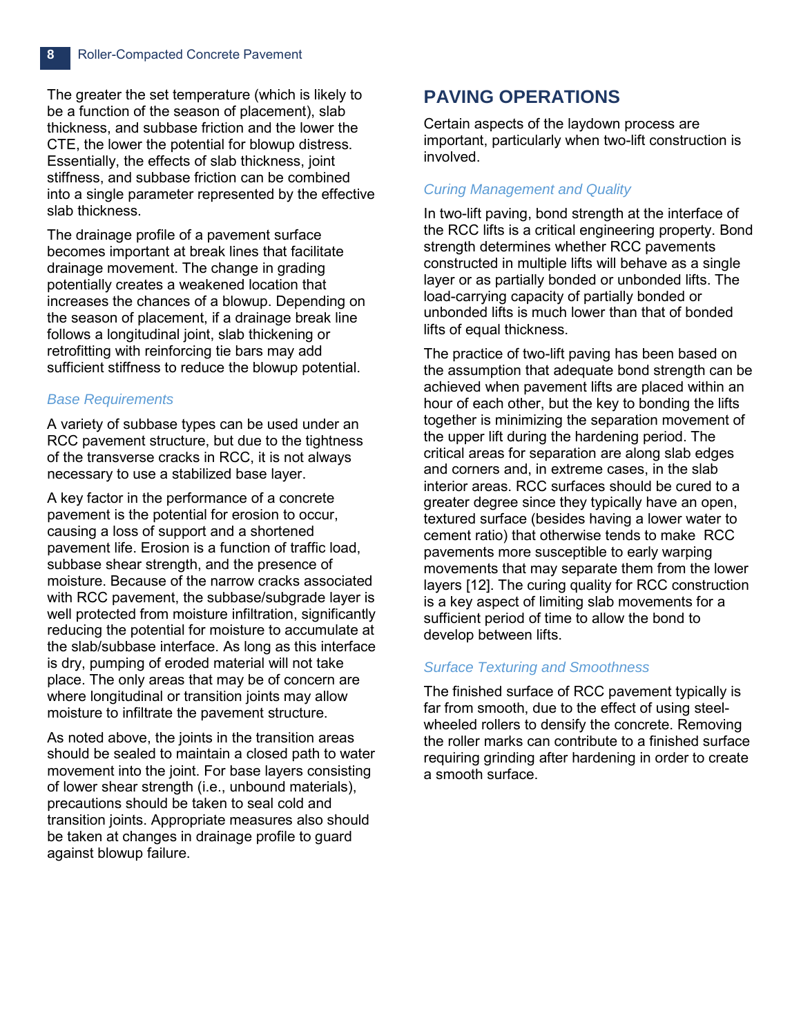The greater the set temperature (which is likely to be a function of the season of placement), slab thickness, and subbase friction and the lower the CTE, the lower the potential for blowup distress. Essentially, the effects of slab thickness, joint stiffness, and subbase friction can be combined into a single parameter represented by the effective slab thickness.

The drainage profile of a pavement surface becomes important at break lines that facilitate drainage movement. The change in grading potentially creates a weakened location that increases the chances of a blowup. Depending on the season of placement, if a drainage break line follows a longitudinal joint, slab thickening or retrofitting with reinforcing tie bars may add sufficient stiffness to reduce the blowup potential.

#### *Base Requirements*

A variety of subbase types can be used under an RCC pavement structure, but due to the tightness of the transverse cracks in RCC, it is not always necessary to use a stabilized base layer.

A key factor in the performance of a concrete pavement is the potential for erosion to occur, causing a loss of support and a shortened pavement life. Erosion is a function of traffic load, subbase shear strength, and the presence of moisture. Because of the narrow cracks associated with RCC pavement, the subbase/subgrade layer is well protected from moisture infiltration, significantly reducing the potential for moisture to accumulate at the slab/subbase interface. As long as this interface is dry, pumping of eroded material will not take place. The only areas that may be of concern are where longitudinal or transition joints may allow moisture to infiltrate the pavement structure.

As noted above, the joints in the transition areas should be sealed to maintain a closed path to water movement into the joint. For base layers consisting of lower shear strength (i.e., unbound materials), precautions should be taken to seal cold and transition joints. Appropriate measures also should be taken at changes in drainage profile to guard against blowup failure.

# **PAVING OPERATIONS**

Certain aspects of the laydown process are important, particularly when two-lift construction is involved.

#### *Curing Management and Quality*

In two-lift paving, bond strength at the interface of the RCC lifts is a critical engineering property. Bond strength determines whether RCC pavements constructed in multiple lifts will behave as a single layer or as partially bonded or unbonded lifts. The load-carrying capacity of partially bonded or unbonded lifts is much lower than that of bonded lifts of equal thickness.

The practice of two-lift paving has been based on the assumption that adequate bond strength can be achieved when pavement lifts are placed within an hour of each other, but the key to bonding the lifts together is minimizing the separation movement of the upper lift during the hardening period. The critical areas for separation are along slab edges and corners and, in extreme cases, in the slab interior areas. RCC surfaces should be cured to a greater degree since they typically have an open, textured surface (besides having a lower water to cement ratio) that otherwise tends to make RCC pavements more susceptible to early warping movements that may separate them from the lower layers [12]. The curing quality for RCC construction is a key aspect of limiting slab movements for a sufficient period of time to allow the bond to develop between lifts.

#### *Surface Texturing and Smoothness*

The finished surface of RCC pavement typically is far from smooth, due to the effect of using steelwheeled rollers to densify the concrete. Removing the roller marks can contribute to a finished surface requiring grinding after hardening in order to create a smooth surface.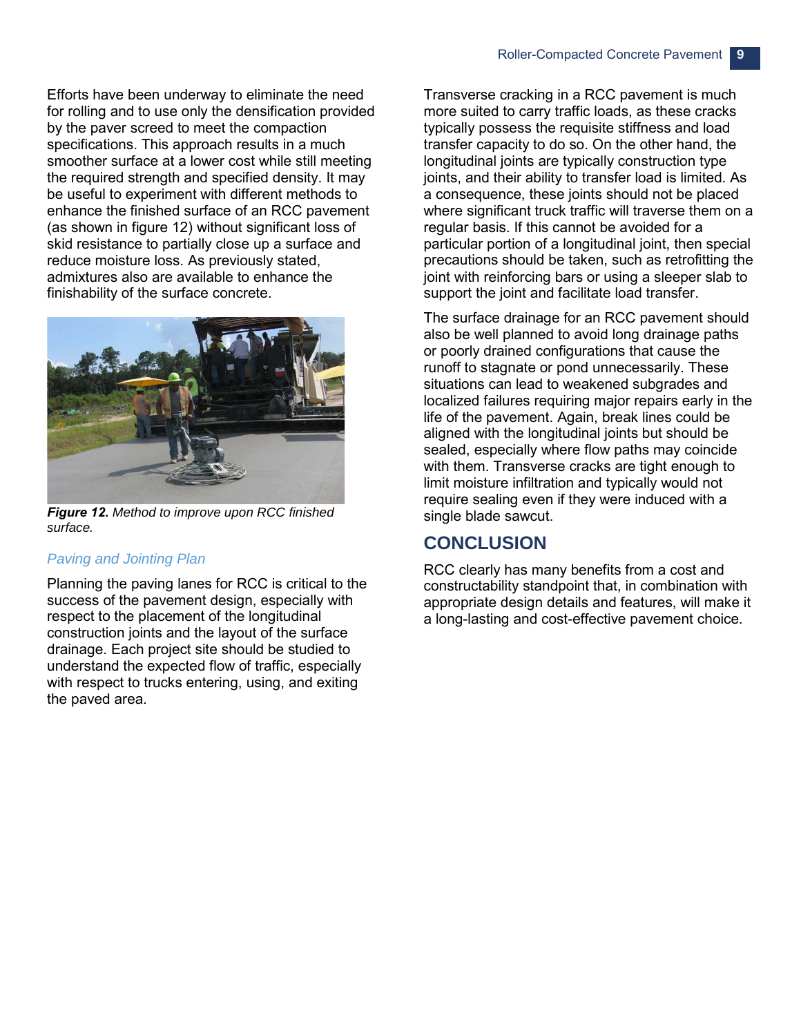Efforts have been underway to eliminate the need for rolling and to use only the densification provided by the paver screed to meet the compaction specifications. This approach results in a much smoother surface at a lower cost while still meeting the required strength and specified density. It may be useful to experiment with different methods to enhance the finished surface of an RCC pavement (as shown in figure 12) without significant loss of skid resistance to partially close up a surface and reduce moisture loss. As previously stated, admixtures also are available to enhance the finishability of the surface concrete.



*Figure 12. Method to improve upon RCC finished surface.*

#### *Paving and Jointing Plan*

Planning the paving lanes for RCC is critical to the success of the pavement design, especially with respect to the placement of the longitudinal construction joints and the layout of the surface drainage. Each project site should be studied to understand the expected flow of traffic, especially with respect to trucks entering, using, and exiting the paved area.

Transverse cracking in a RCC pavement is much more suited to carry traffic loads, as these cracks typically possess the requisite stiffness and load transfer capacity to do so. On the other hand, the longitudinal joints are typically construction type joints, and their ability to transfer load is limited. As a consequence, these joints should not be placed where significant truck traffic will traverse them on a regular basis. If this cannot be avoided for a particular portion of a longitudinal joint, then special precautions should be taken, such as retrofitting the joint with reinforcing bars or using a sleeper slab to support the joint and facilitate load transfer.

The surface drainage for an RCC pavement should also be well planned to avoid long drainage paths or poorly drained configurations that cause the runoff to stagnate or pond unnecessarily. These situations can lead to weakened subgrades and localized failures requiring major repairs early in the life of the pavement. Again, break lines could be aligned with the longitudinal joints but should be sealed, especially where flow paths may coincide with them. Transverse cracks are tight enough to limit moisture infiltration and typically would not require sealing even if they were induced with a single blade sawcut.

# **CONCLUSION**

RCC clearly has many benefits from a cost and constructability standpoint that, in combination with appropriate design details and features, will make it a long-lasting and cost-effective pavement choice.